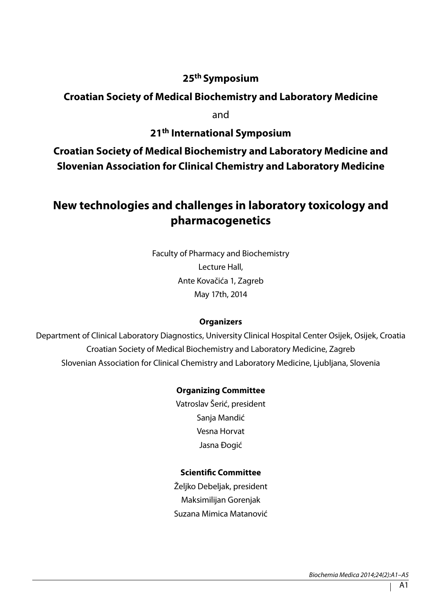# **25th Symposium**

# **Croatian Society of Medical Biochemistry and Laboratory Medicine**

and

# **21th International Symposium**

**Croatian Society of Medical Biochemistry and Laboratory Medicine and Slovenian Association for Clinical Chemistry and Laboratory Medicine**

# **New technologies and challenges in laboratory toxicology and pharmacogenetics**

Faculty of Pharmacy and Biochemistry Lecture Hall, Ante Kovačića 1, Zagreb May 17th, 2014

#### **Organizers**

Department of Clinical Laboratory Diagnostics, University Clinical Hospital Center Osijek, Osijek, Croatia Croatian Society of Medical Biochemistry and Laboratory Medicine, Zagreb Slovenian Association for Clinical Chemistry and Laboratory Medicine, Ljubljana, Slovenia

#### **Organizing Committee**

Vatroslav Šerić, president Sanja Mandić Vesna Horvat Jasna Đogić

#### **Scientific Committee**

Željko Debeljak, president Maksimilijan Gorenjak Suzana Mimica Matanović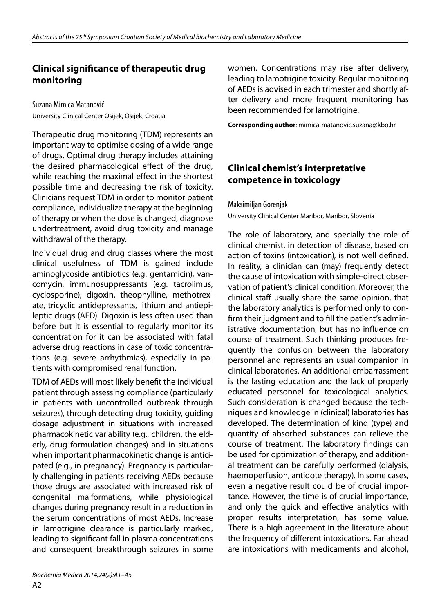### **Clinical significance of therapeutic drug monitoring**

Suzana Mimica Matanović University Clinical Center Osijek, Osijek, Croatia

Therapeutic drug monitoring (TDM) represents an important way to optimise dosing of a wide range of drugs. Optimal drug therapy includes attaining the desired pharmacological effect of the drug, while reaching the maximal effect in the shortest possible time and decreasing the risk of toxicity. Clinicians request TDM in order to monitor patient compliance, individualize therapy at the beginning of therapy or when the dose is changed, diagnose undertreatment, avoid drug toxicity and manage withdrawal of the therapy.

Individual drug and drug classes where the most clinical usefulness of TDM is gained include aminoglycoside antibiotics (e.g. gentamicin), vancomycin, immunosuppressants (e.g. tacrolimus, cyclosporine), digoxin, theophylline, methotrexate, tricyclic antidepressants, lithium and antiepileptic drugs (AED). Digoxin is less often used than before but it is essential to regularly monitor its concentration for it can be associated with fatal adverse drug reactions in case of toxic concentrations (e.g. severe arrhythmias), especially in patients with compromised renal function.

TDM of AEDs will most likely benefit the individual patient through assessing compliance (particularly in patients with uncontrolled outbreak through seizures), through detecting drug toxicity, guiding dosage adjustment in situations with increased pharmacokinetic variability (e.g., children, the elderly, drug formulation changes) and in situations when important pharmacokinetic change is anticipated (e.g., in pregnancy). Pregnancy is particularly challenging in patients receiving AEDs because those drugs are associated with increased risk of congenital malformations, while physiological changes during pregnancy result in a reduction in the serum concentrations of most AEDs. Increase in lamotrigine clearance is particularly marked, leading to significant fall in plasma concentrations and consequent breakthrough seizures in some

women. Concentrations may rise after delivery, leading to lamotrigine toxicity. Regular monitoring of AEDs is advised in each trimester and shortly after delivery and more frequent monitoring has been recommended for lamotrigine.

**Corresponding author**: mimica-matanovic.suzana@kbo.hr

# **Clinical chemist's interpretative competence in toxicology**

Maksimiljan Gorenjak

University Clinical Center Maribor, Maribor, Slovenia

The role of laboratory, and specially the role of clinical chemist, in detection of disease, based on action of toxins (intoxication), is not well defined. In reality, a clinician can (may) frequently detect the cause of intoxication with simple-direct observation of patient's clinical condition. Moreover, the clinical staff usually share the same opinion, that the laboratory analytics is performed only to confirm their judgment and to fill the patient's administrative documentation, but has no influence on course of treatment. Such thinking produces frequently the confusion between the laboratory personnel and represents an usual companion in clinical laboratories. An additional embarrassment is the lasting education and the lack of properly educated personnel for toxicological analytics. Such consideration is changed because the techniques and knowledge in (clinical) laboratories has developed. The determination of kind (type) and quantity of absorbed substances can relieve the course of treatment. The laboratory findings can be used for optimization of therapy, and additional treatment can be carefully performed (dialysis, haemoperfusion, antidote therapy). In some cases, even a negative result could be of crucial importance. However, the time is of crucial importance, and only the quick and effective analytics with proper results interpretation, has some value. There is a high agreement in the literature about the frequency of different intoxications. Far ahead are intoxications with medicaments and alcohol,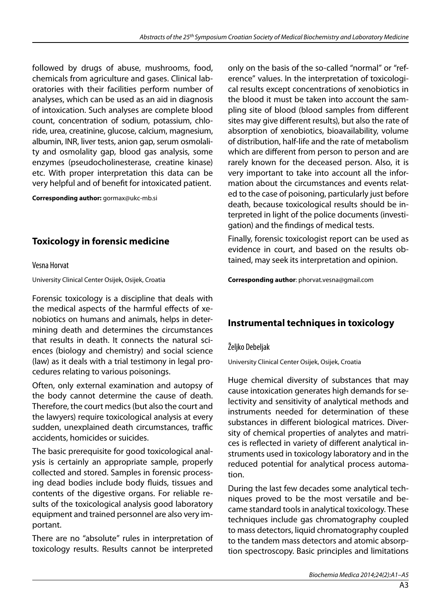followed by drugs of abuse, mushrooms, food, chemicals from agriculture and gases. Clinical laboratories with their facilities perform number of analyses, which can be used as an aid in diagnosis of intoxication. Such analyses are complete blood count, concentration of sodium, potassium, chloride, urea, creatinine, glucose, calcium, magnesium, albumin, INR, liver tests, anion gap, serum osmolality and osmolality gap, blood gas analysis, some enzymes (pseudocholinesterase, creatine kinase) etc. With proper interpretation this data can be very helpful and of benefit for intoxicated patient.

**Corresponding author:** gormax@ukc-mb.si

# **Toxicology in forensic medicine**

#### Vesna Horvat

University Clinical Center Osijek, Osijek, Croatia

Forensic toxicology is a discipline that deals with the medical aspects of the harmful effects of xenobiotics on humans and animals, helps in determining death and determines the circumstances that results in death. It connects the natural sciences (biology and chemistry) and social science (law) as it deals with a trial testimony in legal procedures relating to various poisonings.

Often, only external examination and autopsy of the body cannot determine the cause of death. Therefore, the court medics (but also the court and the lawyers) require toxicological analysis at every sudden, unexplained death circumstances, traffic accidents, homicides or suicides.

The basic prerequisite for good toxicological analysis is certainly an appropriate sample, properly collected and stored. Samples in forensic processing dead bodies include body fluids, tissues and contents of the digestive organs. For reliable results of the toxicological analysis good laboratory equipment and trained personnel are also very important.

There are no "absolute" rules in interpretation of toxicology results. Results cannot be interpreted only on the basis of the so-called "normal" or "reference" values. In the interpretation of toxicological results except concentrations of xenobiotics in the blood it must be taken into account the sampling site of blood (blood samples from different sites may give different results), but also the rate of absorption of xenobiotics, bioavailability, volume of distribution, half-life and the rate of metabolism which are different from person to person and are rarely known for the deceased person. Also, it is very important to take into account all the information about the circumstances and events related to the case of poisoning, particularly just before death, because toxicological results should be interpreted in light of the police documents (investigation) and the findings of medical tests.

Finally, forensic toxicologist report can be used as evidence in court, and based on the results obtained, may seek its interpretation and opinion.

**Corresponding author**: phorvat.vesna@gmail.com

#### **Instrumental techniques in toxicology**

#### Željko Debeljak

University Clinical Center Osijek, Osijek, Croatia

Huge chemical diversity of substances that may cause intoxication generates high demands for selectivity and sensitivity of analytical methods and instruments needed for determination of these substances in different biological matrices. Diversity of chemical properties of analytes and matrices is reflected in variety of different analytical instruments used in toxicology laboratory and in the reduced potential for analytical process automation.

During the last few decades some analytical techniques proved to be the most versatile and became standard tools in analytical toxicology. These techniques include gas chromatography coupled to mass detectors, liquid chromatography coupled to the tandem mass detectors and atomic absorption spectroscopy. Basic principles and limitations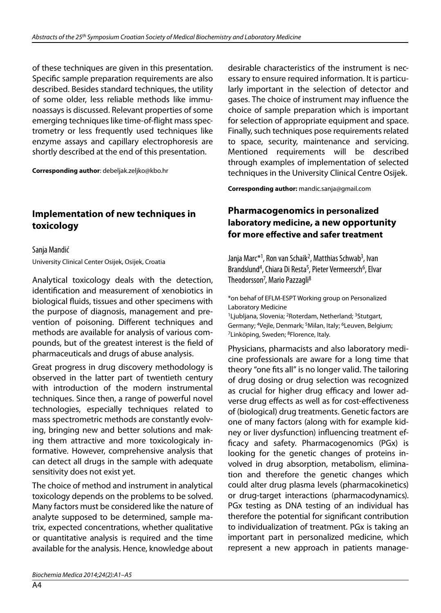of these techniques are given in this presentation. Specific sample preparation requirements are also described. Besides standard techniques, the utility of some older, less reliable methods like immunoassays is discussed. Relevant properties of some emerging techniques like time-of-flight mass spectrometry or less frequently used techniques like enzyme assays and capillary electrophoresis are shortly described at the end of this presentation.

**Corresponding author**: debeljak.zeljko@kbo.hr

#### **Implementation of new techniques in toxicology**

Sanja Mandić University Clinical Center Osijek, Osijek, Croatia

Analytical toxicology deals with the detection, identification and measurement of xenobiotics in biological fluids, tissues and other specimens with the purpose of diagnosis, management and prevention of poisoning. Different techniques and methods are available for analysis of various compounds, but of the greatest interest is the field of pharmaceuticals and drugs of abuse analysis.

Great progress in drug discovery methodology is observed in the latter part of twentieth century with introduction of the modern instrumental techniques. Since then, a range of powerful novel technologies, especially techniques related to mass spectrometric methods are constantly evolving, bringing new and better solutions and making them attractive and more toxicologicaly informative. However, comprehensive analysis that can detect all drugs in the sample with adequate sensitivity does not exist yet.

The choice of method and instrument in analytical toxicology depends on the problems to be solved. Many factors must be considered like the nature of analyte supposed to be determined, sample matrix, expected concentrations, whether qualitative or quantitative analysis is required and the time available for the analysis. Hence, knowledge about desirable characteristics of the instrument is necessary to ensure required information. It is particularly important in the selection of detector and gases. The choice of instrument may influence the choice of sample preparation which is important for selection of appropriate equipment and space. Finally, such techniques pose requirements related to space, security, maintenance and servicing. Mentioned requirements will be described through examples of implementation of selected techniques in the University Clinical Centre Osijek.

**Corresponding author:** mandic.sanja@gmail.com

#### **Pharmacogenomics in personalized laboratory medicine, a new opportunity for more effective and safer treatment**

Janja Marc\*<sup>1</sup>, Ron van Schaik<sup>2</sup>, Matthias Schwab<sup>3</sup>, Ivan Brandslund<sup>4</sup>, Chiara Di Resta<sup>5</sup>, Pieter Vermeersch<sup>6</sup>, Elvar Theodorsson<sup>7</sup>, Mario Pazzagli<sup>8</sup>

\*on behaf of EFLM-ESPT Working group on Personalized Laboratory Medicine <sup>1</sup>Ljubljana, Slovenia; <sup>2</sup>Roterdam, Netherland; <sup>3</sup>Stutgart,

Germany; 4Vejle, Denmark; 5Milan, Italy; 6Leuven, Belgium; <sup>7</sup>Linköping, Sweden; <sup>8</sup>Florence, Italy.

Physicians, pharmacists and also laboratory medicine professionals are aware for a long time that theory "one fits all" is no longer valid. The tailoring of drug dosing or drug selection was recognized as crucial for higher drug efficacy and lower adverse drug effects as well as for cost-effectiveness of (biological) drug treatments. Genetic factors are one of many factors (along with for example kidney or liver dysfunction) influencing treatment efficacy and safety. Pharmacogenomics (PGx) is looking for the genetic changes of proteins involved in drug absorption, metabolism, elimination and therefore the genetic changes which could alter drug plasma levels (pharmacokinetics) or drug-target interactions (pharmacodynamics). PGx testing as DNA testing of an individual has therefore the potential for significant contribution to individualization of treatment. PGx is taking an important part in personalized medicine, which represent a new approach in patients manage